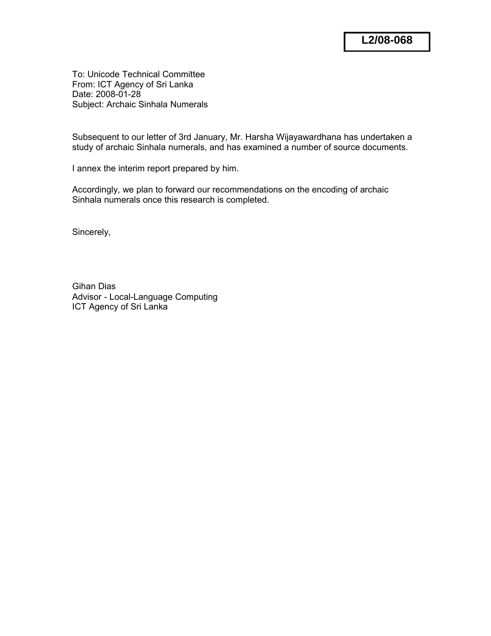To: Unicode Technical Committee From: ICT Agency of Sri Lanka Date: 2008-01-28 Subject: Archaic Sinhala Numerals

Subsequent to our letter of 3rd January, Mr. Harsha Wijayawardhana has undertaken a study of archaic Sinhala numerals, and has examined a number of source documents.

I annex the interim report prepared by him.

Accordingly, we plan to forward our recommendations on the encoding of archaic Sinhala numerals once this research is completed.

Sincerely,

Gihan Dias Advisor - Local-Language Computing ICT Agency of Sri Lanka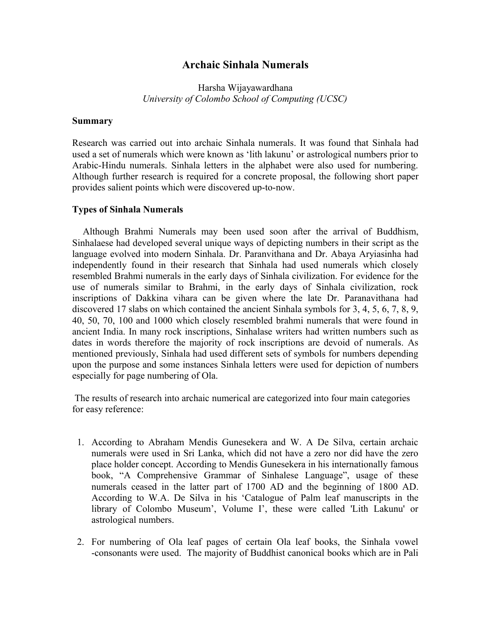## **Archaic Sinhala Numerals**

## Harsha Wijayawardhana *University of Colombo School of Computing (UCSC)*

## **Summary**

Research was carried out into archaic Sinhala numerals. It was found that Sinhala had used a set of numerals which were known as 'lith lakunu' or astrological numbers prior to Arabic-Hindu numerals. Sinhala letters in the alphabet were also used for numbering. Although further research is required for a concrete proposal, the following short paper provides salient points which were discovered up-to-now.

## **Types of Sinhala Numerals**

 Although Brahmi Numerals may been used soon after the arrival of Buddhism, Sinhalaese had developed several unique ways of depicting numbers in their script as the language evolved into modern Sinhala. Dr. Paranvithana and Dr. Abaya Aryiasinha had independently found in their research that Sinhala had used numerals which closely resembled Brahmi numerals in the early days of Sinhala civilization. For evidence for the use of numerals similar to Brahmi, in the early days of Sinhala civilization, rock inscriptions of Dakkina vihara can be given where the late Dr. Paranavithana had discovered 17 slabs on which contained the ancient Sinhala symbols for 3, 4, 5, 6, 7, 8, 9, 40, 50, 70, 100 and 1000 which closely resembled brahmi numerals that were found in ancient India. In many rock inscriptions, Sinhalase writers had written numbers such as dates in words therefore the majority of rock inscriptions are devoid of numerals. As mentioned previously, Sinhala had used different sets of symbols for numbers depending upon the purpose and some instances Sinhala letters were used for depiction of numbers especially for page numbering of Ola.

The results of research into archaic numerical are categorized into four main categories for easy reference:

- 1. According to Abraham Mendis Gunesekera and W. A De Silva, certain archaic numerals were used in Sri Lanka, which did not have a zero nor did have the zero place holder concept. According to Mendis Gunesekera in his internationally famous book, "A Comprehensive Grammar of Sinhalese Language", usage of these numerals ceased in the latter part of 1700 AD and the beginning of 1800 AD. According to W.A. De Silva in his 'Catalogue of Palm leaf manuscripts in the library of Colombo Museum', Volume I', these were called 'Lith Lakunu' or astrological numbers.
- 2. For numbering of Ola leaf pages of certain Ola leaf books, the Sinhala vowel -consonants were used. The majority of Buddhist canonical books which are in Pali